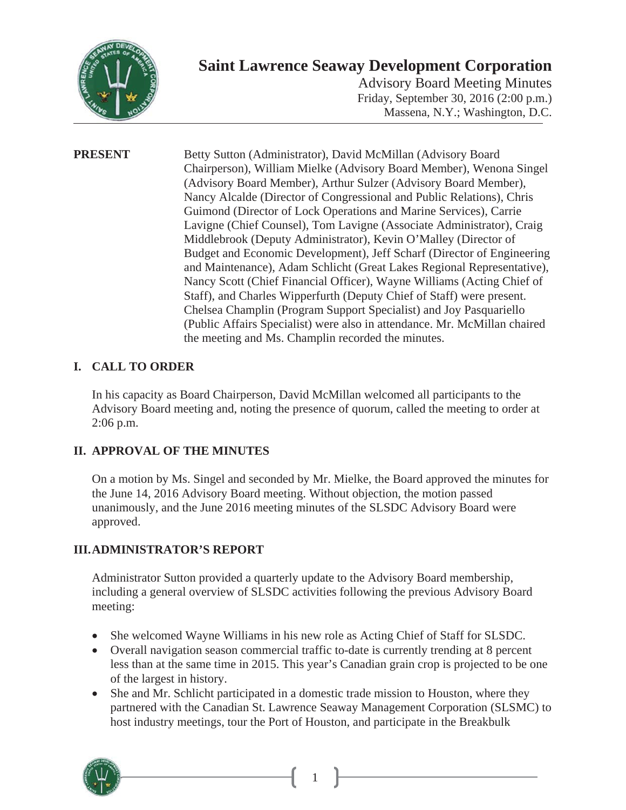

# **Saint Lawrence Seaway Development Corporation**

Advisory Board Meeting Minutes Friday, September 30, 2016 (2:00 p.m.) Massena, N.Y.; Washington, D.C.

**PRESENT** Betty Sutton (Administrator), David McMillan (Advisory Board Chairperson), William Mielke (Advisory Board Member), Wenona Singel (Advisory Board Member), Arthur Sulzer (Advisory Board Member), Nancy Alcalde (Director of Congressional and Public Relations), Chris Guimond (Director of Lock Operations and Marine Services), Carrie Lavigne (Chief Counsel), Tom Lavigne (Associate Administrator), Craig Middlebrook (Deputy Administrator), Kevin O'Malley (Director of Budget and Economic Development), Jeff Scharf (Director of Engineering and Maintenance), Adam Schlicht (Great Lakes Regional Representative), Nancy Scott (Chief Financial Officer), Wayne Williams (Acting Chief of Staff), and Charles Wipperfurth (Deputy Chief of Staff) were present. Chelsea Champlin (Program Support Specialist) and Joy Pasquariello (Public Affairs Specialist) were also in attendance. Mr. McMillan chaired the meeting and Ms. Champlin recorded the minutes.

## **I. CALL TO ORDER**

In his capacity as Board Chairperson, David McMillan welcomed all participants to the Advisory Board meeting and, noting the presence of quorum, called the meeting to order at 2:06 p.m.

### **II. APPROVAL OF THE MINUTES**

On a motion by Ms. Singel and seconded by Mr. Mielke, the Board approved the minutes for the June 14, 2016 Advisory Board meeting. Without objection, the motion passed unanimously, and the June 2016 meeting minutes of the SLSDC Advisory Board were approved.

### **III.ADMINISTRATOR'S REPORT**

Administrator Sutton provided a quarterly update to the Advisory Board membership, including a general overview of SLSDC activities following the previous Advisory Board meeting:

- She welcomed Wayne Williams in his new role as Acting Chief of Staff for SLSDC.
- Overall navigation season commercial traffic to-date is currently trending at 8 percent less than at the same time in 2015. This year's Canadian grain crop is projected to be one of the largest in history.
- She and Mr. Schlicht participated in a domestic trade mission to Houston, where they partnered with the Canadian St. Lawrence Seaway Management Corporation (SLSMC) to host industry meetings, tour the Port of Houston, and participate in the Breakbulk



1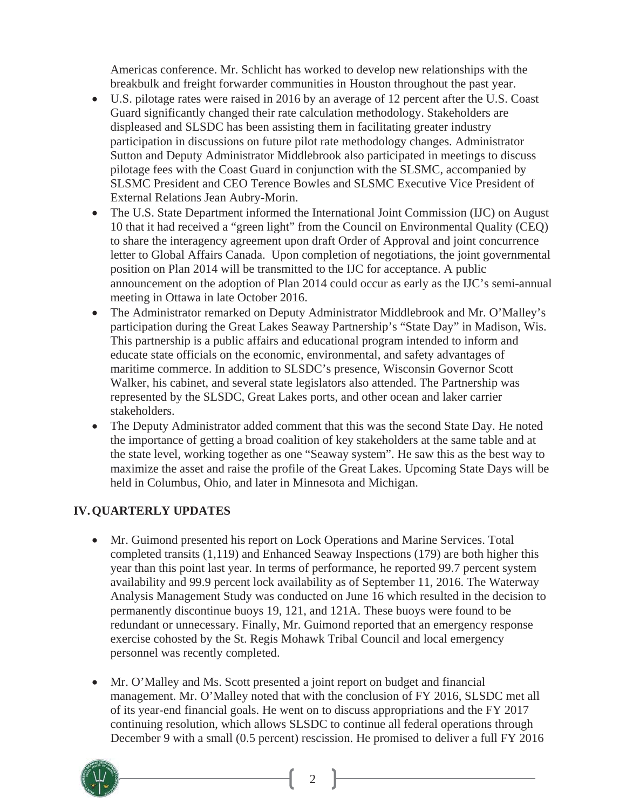Americas conference. Mr. Schlicht has worked to develop new relationships with the breakbulk and freight forwarder communities in Houston throughout the past year.

- x U.S. pilotage rates were raised in 2016 by an average of 12 percent after the U.S. Coast Guard significantly changed their rate calculation methodology. Stakeholders are displeased and SLSDC has been assisting them in facilitating greater industry participation in discussions on future pilot rate methodology changes. Administrator Sutton and Deputy Administrator Middlebrook also participated in meetings to discuss pilotage fees with the Coast Guard in conjunction with the SLSMC, accompanied by SLSMC President and CEO Terence Bowles and SLSMC Executive Vice President of External Relations Jean Aubry-Morin.
- The U.S. State Department informed the International Joint Commission (IJC) on August 10 that it had received a "green light" from the Council on Environmental Quality (CEQ) to share the interagency agreement upon draft Order of Approval and joint concurrence letter to Global Affairs Canada. Upon completion of negotiations, the joint governmental position on Plan 2014 will be transmitted to the IJC for acceptance. A public announcement on the adoption of Plan 2014 could occur as early as the IJC's semi-annual meeting in Ottawa in late October 2016.
- x The Administrator remarked on Deputy Administrator Middlebrook and Mr. O'Malley's participation during the Great Lakes Seaway Partnership's "State Day" in Madison, Wis. This partnership is a public affairs and educational program intended to inform and educate state officials on the economic, environmental, and safety advantages of maritime commerce. In addition to SLSDC's presence, Wisconsin Governor Scott Walker, his cabinet, and several state legislators also attended. The Partnership was represented by the SLSDC, Great Lakes ports, and other ocean and laker carrier stakeholders.
- The Deputy Administrator added comment that this was the second State Day. He noted the importance of getting a broad coalition of key stakeholders at the same table and at the state level, working together as one "Seaway system". He saw this as the best way to maximize the asset and raise the profile of the Great Lakes. Upcoming State Days will be held in Columbus, Ohio, and later in Minnesota and Michigan.

#### **IV. QUARTERLY UPDATES**

- Mr. Guimond presented his report on Lock Operations and Marine Services. Total completed transits (1,119) and Enhanced Seaway Inspections (179) are both higher this year than this point last year. In terms of performance, he reported 99.7 percent system availability and 99.9 percent lock availability as of September 11, 2016. The Waterway Analysis Management Study was conducted on June 16 which resulted in the decision to permanently discontinue buoys 19, 121, and 121A. These buoys were found to be redundant or unnecessary. Finally, Mr. Guimond reported that an emergency response exercise cohosted by the St. Regis Mohawk Tribal Council and local emergency personnel was recently completed.
- Mr. O'Malley and Ms. Scott presented a joint report on budget and financial management. Mr. O'Malley noted that with the conclusion of FY 2016, SLSDC met all of its year-end financial goals. He went on to discuss appropriations and the FY 2017 continuing resolution, which allows SLSDC to continue all federal operations through December 9 with a small (0.5 percent) rescission. He promised to deliver a full FY 2016

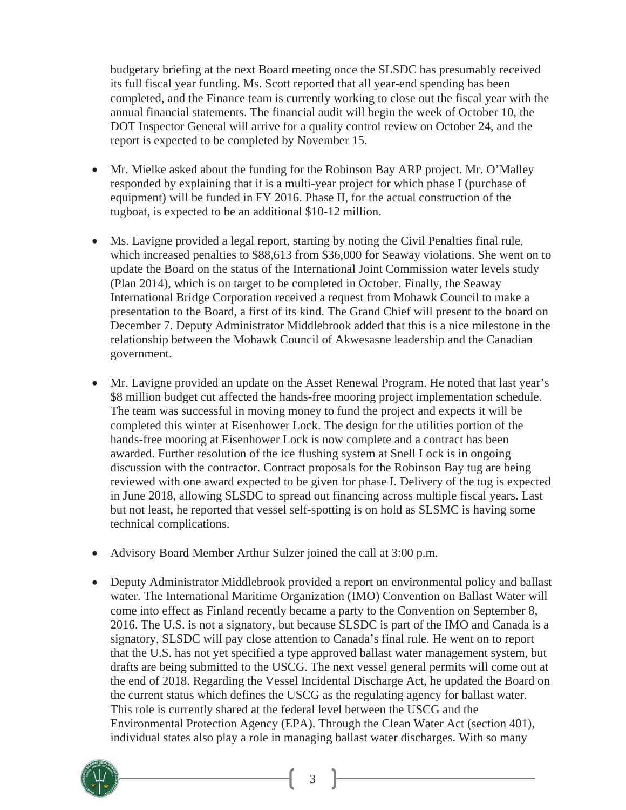budgetary briefing at the next Board meeting once the SLSDC has presumably received its full fiscal year funding. Ms. Scott reported that all year-end spending has been completed, and the Finance team is currently working to close out the fiscal year with the annual financial statements. The financial audit will begin the week of October 10, the DOT Inspector General will arrive for a quality control review on October 24, and the report is expected to be completed by November 15.

- Mr. Mielke asked about the funding for the Robinson Bay ARP project. Mr. O'Malley responded by explaining that it is a multi-year project for which phase I (purchase of equipment) will be funded in FY 2016. Phase II, for the actual construction of the tugboat, is expected to be an additional \$10-12 million.
- Ms. Lavigne provided a legal report, starting by noting the Civil Penalties final rule, which increased penalties to \$88,613 from \$36,000 for Seaway violations. She went on to update the Board on the status of the International Joint Commission water levels study (Plan 2014), which is on target to be completed in October. Finally, the Seaway International Bridge Corporation received a request from Mohawk Council to make a presentation to the Board, a first of its kind. The Grand Chief will present to the board on December 7. Deputy Administrator Middlebrook added that this is a nice milestone in the relationship between the Mohawk Council of Akwesasne leadership and the Canadian government.
- Mr. Lavigne provided an update on the Asset Renewal Program. He noted that last year's \$8 million budget cut affected the hands-free mooring project implementation schedule. The team was successful in moving money to fund the project and expects it will be completed this winter at Eisenhower Lock. The design for the utilities portion of the hands-free mooring at Eisenhower Lock is now complete and a contract has been awarded. Further resolution of the ice flushing system at Snell Lock is in ongoing discussion with the contractor. Contract proposals for the Robinson Bay tug are being reviewed with one award expected to be given for phase I. Delivery of the tug is expected in June 2018, allowing SLSDC to spread out financing across multiple fiscal years. Last but not least, he reported that vessel self-spotting is on hold as SLSMC is having some technical complications.
- Advisory Board Member Arthur Sulzer joined the call at  $3:00$  p.m.
- Deputy Administrator Middlebrook provided a report on environmental policy and ballast water. The International Maritime Organization (IMO) Convention on Ballast Water will come into effect as Finland recently became a party to the Convention on September 8, 2016. The U.S. is not a signatory, but because SLSDC is part of the IMO and Canada is a signatory, SLSDC will pay close attention to Canada's final rule. He went on to report that the U.S. has not yet specified a type approved ballast water management system, but drafts are being submitted to the USCG. The next vessel general permits will come out at the end of 2018. Regarding the Vessel Incidental Discharge Act, he updated the Board on the current status which defines the USCG as the regulating agency for ballast water. This role is currently shared at the federal level between the USCG and the Environmental Protection Agency (EPA). Through the Clean Water Act (section 401), individual states also play a role in managing ballast water discharges. With so many

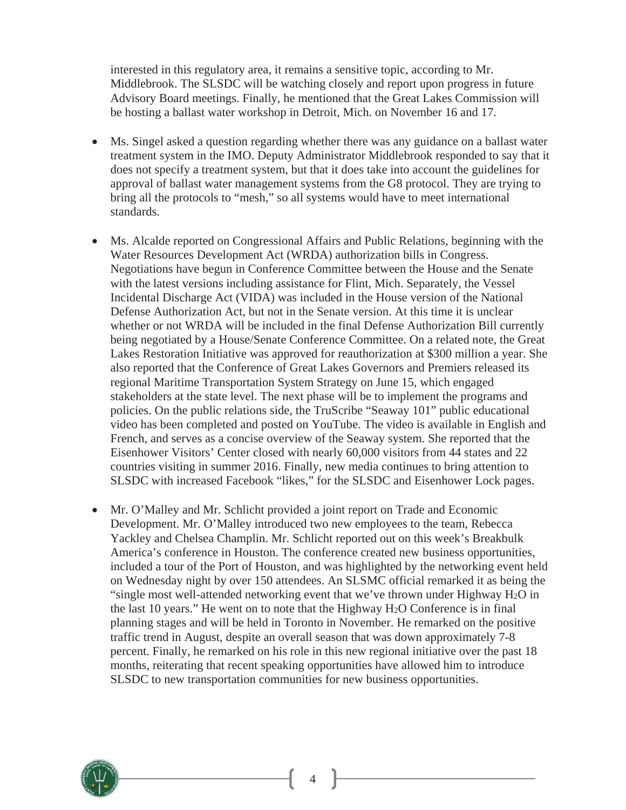interested in this regulatory area, it remains a sensitive topic, according to Mr. Middlebrook. The SLSDC will be watching closely and report upon progress in future Advisory Board meetings. Finally, he mentioned that the Great Lakes Commission will be hosting a ballast water workshop in Detroit, Mich. on November 16 and 17.

- Ms. Singel asked a question regarding whether there was any guidance on a ballast water treatment system in the IMO. Deputy Administrator Middlebrook responded to say that it does not specify a treatment system, but that it does take into account the guidelines for approval of ballast water management systems from the G8 protocol. They are trying to bring all the protocols to "mesh," so all systems would have to meet international standards.
- x Ms. Alcalde reported on Congressional Affairs and Public Relations, beginning with the Water Resources Development Act (WRDA) authorization bills in Congress. Negotiations have begun in Conference Committee between the House and the Senate with the latest versions including assistance for Flint, Mich. Separately, the Vessel Incidental Discharge Act (VIDA) was included in the House version of the National Defense Authorization Act, but not in the Senate version. At this time it is unclear whether or not WRDA will be included in the final Defense Authorization Bill currently being negotiated by a House/Senate Conference Committee. On a related note, the Great Lakes Restoration Initiative was approved for reauthorization at \$300 million a year. She also reported that the Conference of Great Lakes Governors and Premiers released its regional Maritime Transportation System Strategy on June 15, which engaged stakeholders at the state level. The next phase will be to implement the programs and policies. On the public relations side, the TruScribe "Seaway 101" public educational video has been completed and posted on YouTube. The video is available in English and French, and serves as a concise overview of the Seaway system. She reported that the Eisenhower Visitors' Center closed with nearly 60,000 visitors from 44 states and 22 countries visiting in summer 2016. Finally, new media continues to bring attention to SLSDC with increased Facebook "likes," for the SLSDC and Eisenhower Lock pages.
- Mr. O'Malley and Mr. Schlicht provided a joint report on Trade and Economic Development. Mr. O'Malley introduced two new employees to the team, Rebecca Yackley and Chelsea Champlin. Mr. Schlicht reported out on this week's Breakbulk America's conference in Houston. The conference created new business opportunities, included a tour of the Port of Houston, and was highlighted by the networking event held on Wednesday night by over 150 attendees. An SLSMC official remarked it as being the "single most well-attended networking event that we've thrown under Highway H2O in the last 10 years." He went on to note that the Highway H2O Conference is in final planning stages and will be held in Toronto in November. He remarked on the positive traffic trend in August, despite an overall season that was down approximately 7-8 percent. Finally, he remarked on his role in this new regional initiative over the past 18 months, reiterating that recent speaking opportunities have allowed him to introduce SLSDC to new transportation communities for new business opportunities.



4